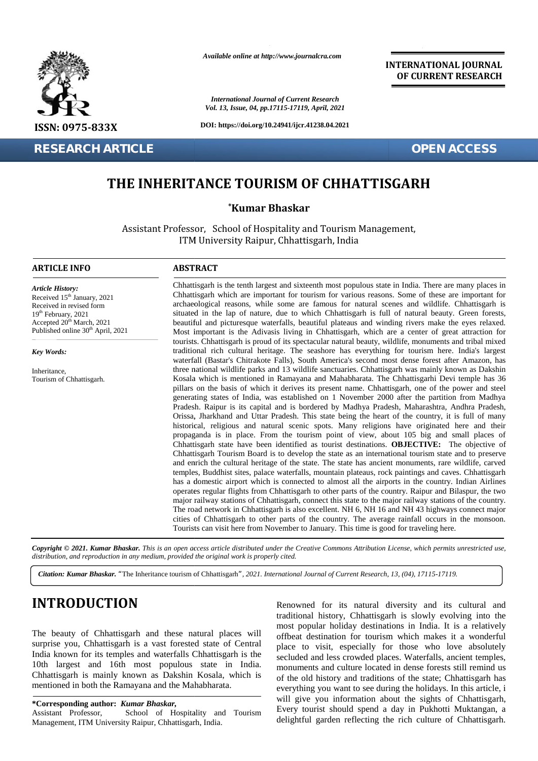

**RESEARCH ARTICLE OPEN ACCESS**

*Available online at http://www.journalcra.com*

*International Journal of Current Research Vol. 13, Issue, 04, pp.17115-17119, April, 2021*

**DOI: https://doi.org/10.24941/ijcr.41238.04.2021**

**INTERNATIONAL JOURNAL OF CURRENT RESEARCH**

# **THE INHERITANCE TOURISM OF CHHATTISGARH**

## **\*Kumar Bhaskar \***

Assistant Professor, School of Hospitality and Tourism Management, ITM University Raipur, Chhattisgarh, India

#### **ARTICLE INFO ABSTRACT ARTICLE ABSTRACT**

*Article History: Article History:* Received  $15<sup>th</sup>$  January, 2021 Received 15 January, 2021<br>Received in revised form  $19<sup>th</sup>$  February, 2021 Received in revised form<br>
19<sup>th</sup> February, 2021<br>
Accepted 20<sup>th</sup> March, 2021<br>
b Published online  $30<sup>th</sup>$  April, 2021 **THE INHERITAN<br>
THE INHERITAN**<br>
Assistant Professor,<br>
ITM Un<br>
ARTICLE INFO<br>
Article History:<br>
Article History:<br>
Article History:<br>
Article History:<br>
Article History:<br>
Article History:<br>
Article History:<br>
Received in revised

*Key Words:*

Inheritance, Tourism of Chhattisgarh.

Chhattisgarh is the tenth largest and sixteenth most populous state in India. There are many places in Chhattisgarh which are important for tourism for various reasons. Some of these are important for archaeological reasons, while some are famous for natural scenes and wildlife. Chhattisgarh is Shape of the lap of natural situated in the lap of natural situated in the lap of natural situated in the lap of nature, due to which Chhattisgarh is full of natural beauty. Contract to situated in the lap of nature, due t beautiful and picturesque waterfalls, beautiful plateaus and winding rivers make the eyes relaxed. Most important is the Adivasis living in Chhattisgarh, which are a center of great attraction for tourists. Chhattisgarh is proud of its spectacular natural beauty, wildlife, monuments and tribal mixed traditional rich cultural heritage. The seashore has everything for tourism here. India's largest waterfall (Bastar's Chitrakote Falls), South America's second most dense forest after Amazon, has three national wildlife parks and 13 wildlife sanctuaries. Chhattisgarh was mainly known as Dakshin Kosala which is mentioned in Ramayana and Mahabharata. The Chhattisgarhi Devi temple has 36 pillars on the basis of which it derives its present name. Chhattisgarh, one of the power and steel generating states of India, was established on 1 November 2000 after the partition from Madhya Pradesh. Raipur is its capital and is bordered by Madhya Pradesh, Maharashtra, Andhra Pradesh, Orissa, Jharkhand and Uttar Pradesh. This state being the heart of the country, it is full of many historical, religious and natural scenic spots. Many religions have originated here and their propaganda is in place. From the tourism point of view, about 105 big and small places of Chhattisgarh state have been identified as tourist destinations. **OBJECTIVE:** The objective of Chhattisgarh Tourism Board is to develop the state as an international tourism state and to preserve and enrich the cultural heritage of the state. The state has ancient monuments, rare wildlife, carved temples, Buddhist sites, palace waterfalls, mountain plateaus, rock paintings and caves. Chhattisgarh temples, Buddhist sites, palace waterfalls, mountain plateaus, rock paintings and caves. Chhattisgarh<br>has a domestic airport which is connected to almost all the airports in the country. Indian Airlines operates regular flights from Chhattisgarh to other parts of the country. Raipur and Bilaspur, the two major railway stations of Chhattisgarh, connect this state to the major railway stations of the country. The road network in Chhattisgarh is also excellent. NH 6, NH 16 and NH 43 highways connect major cities of Chhattisgarh to other parts of the country. The average rainfall occurs in the monsoon. Tourists can visit here from November to January. This time is good for traveling here. Chhattisgarh is the tenth largest and sixteenth most populous state in India. There are many places in Chhattisgarh which are important for tourism for various reasons. Some of these are important for archaeological reason three national wildlife parks and 13 wildlife sanctuaries. Chhattisgarh was mainly known as Dakshin Kosala which is mentioned in Ramayana and Mahabharata. The Chhattisgarhi Devi temple has 36 pillars on the basis of which operates regular flights from Chhattisgarh to other parts of the country. Raipur and major railway stations of Chhattisgarh, connect this state to the major railway station. The road network in Chhattisgarh is also excelle **EXAMPLE AND A SECOND CONSULTER CONSULTER CONSULTER CONSULTER CONSULTER CONSULTER CONSULTER CONSULTER CONSULTER CONSULTER CONSULTER CONSULTER CONSULTER CONSULTER CONSULTER CONSULTER CONSULTER CONSULTER CONSULTER CONSULTER** 2021<br> **Containing the valish and inportant for tourism for various reasons.** Some of these are<br>
archoofogical reasons, while some are framous for natural scenes and wildlife.<br>
Satural the lap of nature, due to which Chhat

Copyright © 2021. Kumar Bhaskar. This is an open access article distributed under the Creative Commons Attribution License, which permits unrestricted use, *distribution, and reproduction in any medium, provided the original work is properly cited. distribution,any*

*Citation: Kumar Bhaskar. "*The Inheritance tourism of Chhattisgarh*", 2021. International Journal of Current Research, 13, (04), 17115-17119.*

# **INTRODUCTION INTRODUCTION**

The beauty of Chhattisgarh and these natural places will surprise you, Chhattisgarh is a vast forested state of Central India known for its temples and waterfalls Chhattisgarh is the 10th largest and 16th most populous state in India. Chhattisgarh is mainly known as Dakshin Kosala, which is mentioned in both the Ramayana and the Mahabharata. surprise you, Chhattisgarh is a vast forested state India known for its temples and waterfalls Chhattis<br>10th 16th populous state Chhattisgarh is mainly known as Dakshin Kosala<br>mentioned in both the Ramayana and the Mahabha

#### **\*Corresponding author:** *Kumar Bhaskar,* **\*Corresponding**

Assistant Professor, School of Hospitality and Tourism Management, ITM University Raipur, Chhattisgarh, India.

Renowned for its natural diversity and its cultural and traditional history, Chhattisgarh is slowly evolving into the most popular holiday destinations in India. It is a relatively offbeat destination for tourism which makes it a wonderful place to visit, especially for those who love absolutely secluded and less crowded places. Waterfalls, ancient temples, monuments and culture located in dense forests still remind us of the old history and traditions of the state; Chhattisgarh has everything you want to see during the holidays. In this article, i will give you information about the sights of Chhattisgarh, Every tourist should spend a day in Pukhotti Muktangan, a delightful garden reflecting the rich culture of Chhattisgarh. **EXECT THE SEAL ASSET ASSET ASSET AND A SET ASSET AND A SET AN ASSET AND A SET AN ASSET AND A SET AND A SET AND A SET AND A SET AND A SET AND A SET AND A SET AND A SET AND A SET A SET AND A SET A SET AND A SET A SET AND A** del culture located in dense<br>pry and traditions of the s<br>want to see during the ho-<br>information about the si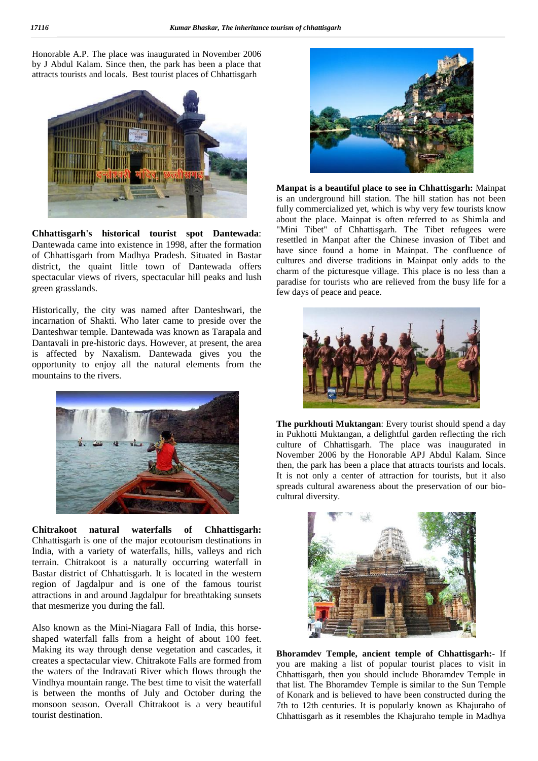Honorable A.P. The place was inaugurated in November 2006 by J Abdul Kalam. Since then, the park has been a place that attracts tourists and locals. Best tourist places of Chhattisgarh



**Chhattisgarh's historical tourist spot Dantewada**: Dantewada came into existence in 1998, after the formation of Chhattisgarh from Madhya Pradesh. Situated in Bastar district, the quaint little town of Dantewada offers spectacular views of rivers, spectacular hill peaks and lush green grasslands.

Historically, the city was named after Danteshwari, the incarnation of Shakti. Who later came to preside over the Danteshwar temple. Dantewada was known as Tarapala and Dantavali in pre-historic days. However, at present, the area is affected by Naxalism. Dantewada gives you the opportunity to enjoy all the natural elements from the mountains to the rivers.



**Chitrakoot natural waterfalls of Chhattisgarh:** Chhattisgarh is one of the major ecotourism destinations in India, with a variety of waterfalls, hills, valleys and rich terrain. Chitrakoot is a naturally occurring waterfall in Bastar district of Chhattisgarh. It is located in the western region of Jagdalpur and is one of the famous tourist attractions in and around Jagdalpur for breathtaking sunsets that mesmerize you during the fall.

Also known as the Mini-Niagara Fall of India, this horse shaped waterfall falls from a height of about 100 feet. Making its way through dense vegetation and cascades, it creates a spectacular view. Chitrakote Falls are formed from the waters of the Indravati River which flows through the Vindhya mountain range. The best time to visit the waterfall is between the months of July and October during the monsoon season. Overall Chitrakoot is a very beautiful tourist destination.



**Manpat is a beautiful place to see in Chhattisgarh:** Mainpat is an underground hill station. The hill station has not been fully commercialized yet, which is why very few tourists know about the place. Mainpat is often referred to as Shimla and "Mini Tibet" of Chhattisgarh. The Tibet refugees were resettled in Manpat after the Chinese invasion of Tibet and have since found a home in Mainpat. The confluence of cultures and diverse traditions in Mainpat only adds to the charm of the picturesque village. This place is no less than a paradise for tourists who are relieved from the busy life for a few days of peace and peace.



**The purkhouti Muktangan**: Every tourist should spend a day in Pukhotti Muktangan, a delightful garden reflecting the rich culture of Chhattisgarh. The place was inaugurated in November 2006 by the Honorable APJ Abdul Kalam. Since then, the park has been a place that attracts tourists and locals. It is not only a center of attraction for tourists, but it also spreads cultural awareness about the preservation of our bio cultural diversity.



**Bhoramdev Temple, ancient temple of Chhattisgarh:-** If you are making a list of popular tourist places to visit in Chhattisgarh, then you should include Bhoramdev Temple in that list. The Bhoramdev Temple is similar to the Sun Temple of Konark and is believed to have been constructed during the 7th to 12th centuries. It is popularly known as Khajuraho of Chhattisgarh as it resembles the Khajuraho temple in Madhya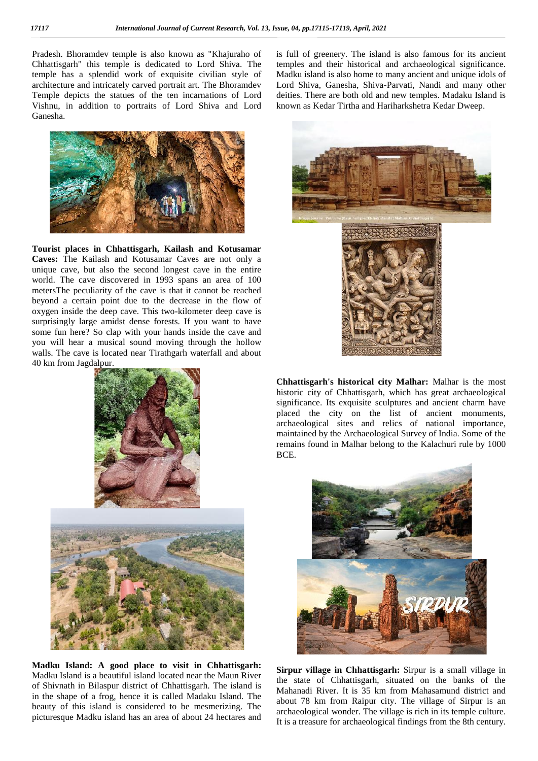Pradesh. Bhoramdev temple is also known as "Khajuraho of Chhattisgarh" this temple is dedicated to Lord Shiva. The temple has a splendid work of exquisite civilian style of architecture and intricately carved portrait art. The Bhoramdev Temple depicts the statues of the ten incarnations of Lord Vishnu, in addition to portraits of Lord Shiva and Lord Ganesha.



**Tourist places in Chhattisgarh, Kailash and Kotusamar Caves:** The Kailash and Kotusamar Caves are not only a unique cave, but also the second longest cave in the entire world. The cave discovered in 1993 spans an area of 100 metersThe peculiarity of the cave is that it cannot be reached beyond a certain point due to the decrease in the flow of oxygen inside the deep cave. This two-kilometer deep cave is surprisingly large amidst dense forests. If you want to have some fun here? So clap with your hands inside the cave and you will hear a musical sound moving through the hollow walls. The cave is located near Tirathgarh waterfall and about 40 km from Jagdalpur.



**Madku Island: A good place to visit in Chhattisgarh:** Madku Island is a beautiful island located near the Maun River of Shivnath in Bilaspur district of Chhattisgarh. The island is in the shape of a frog, hence it is called Madaku Island. The beauty of this island is considered to be mesmerizing. The picturesque Madku island has an area of about 24 hectares and

is full of greenery. The island is also famous for its ancient temples and their historical and archaeological significance. Madku island is also home to many ancient and unique idols of Lord Shiva, Ganesha, Shiva-Parvati, Nandi and many other deities. There are both old and new temples. Madaku Island is known as Kedar Tirtha and Hariharkshetra Kedar Dweep.



**Chhattisgarh's historical city Malhar:** Malhar is the most historic city of Chhattisgarh, which has great archaeological significance. Its exquisite sculptures and ancient charm have placed the city on the list of ancient monuments, archaeological sites and relics of national importance, maintained by the Archaeological Survey of India. Some of the remains found in Malhar belong to the Kalachuri rule by 1000 BCE.



**Sirpur village in Chhattisgarh:** Sirpur is a small village in the state of Chhattisgarh, situated on the banks of the Mahanadi River. It is 35 km from Mahasamund district and about 78 km from Raipur city. The village of Sirpur is an archaeological wonder. The village is rich in its temple culture. It is a treasure for archaeological findings from the 8th century.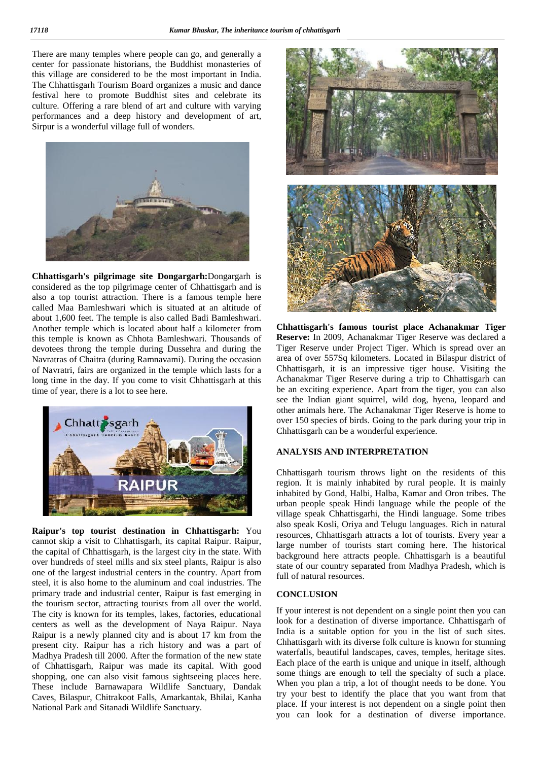There are many temples where people can go, and generally a center for passionate historians, the Buddhist monasteries of this village are considered to be the most important in India. The Chhattisgarh Tourism Board organizes a music and dance festival here to promote Buddhist sites and celebrate its culture. Offering a rare blend of art and culture with varying performances and a deep history and development of art, Sirpur is a wonderful village full of wonders.



**Chhattisgarh's pilgrimage site Dongargarh:**Dongargarh is considered as the top pilgrimage center of Chhattisgarh and is also a top tourist attraction. There is a famous temple here called Maa Bamleshwari which is situated at an altitude of about 1,600 feet. The temple is also called Badi Bamleshwari. Another temple which is located about half a kilometer from this temple is known as Chhota Bamleshwari. Thousands of devotees throng the temple during Dussehra and during the Navratras of Chaitra (during Ramnavami). During the occasion of Navratri, fairs are organized in the temple which lasts for a long time in the day. If you come to visit Chhattisgarh at this time of year, there is a lot to see here.



**Raipur's top tourist destination in Chhattisgarh:** You cannot skip a visit to Chhattisgarh, its capital Raipur. Raipur, the capital of Chhattisgarh, is the largest city in the state. With over hundreds of steel mills and six steel plants, Raipur is also one of the largest industrial centers in the country. Apart from steel, it is also home to the aluminum and coal industries. The primary trade and industrial center, Raipur is fast emerging in the tourism sector, attracting tourists from all over the world. The city is known for its temples, lakes, factories, educational centers as well as the development of Naya Raipur. Naya Raipur is a newly planned city and is about 17 km from the present city. Raipur has a rich history and was a part of Madhya Pradesh till 2000. After the formation of the new state of Chhattisgarh, Raipur was made its capital. With good shopping, one can also visit famous sightseeing places here. These include Barnawapara Wildlife Sanctuary, Dandak Caves, Bilaspur, Chitrakoot Falls, Amarkantak, Bhilai, Kanha National Park and Sitanadi Wildlife Sanctuary.



**Chhattisgarh's famous tourist place Achanakmar Tiger Reserve:** In 2009, Achanakmar Tiger Reserve was declared a Tiger Reserve under Project Tiger. Which is spread over an area of over 557Sq kilometers. Located in Bilaspur district of Chhattisgarh, it is an impressive tiger house. Visiting the Achanakmar Tiger Reserve during a trip to Chhattisgarh can be an exciting experience. Apart from the tiger, you can also see the Indian giant squirrel, wild dog, hyena, leopard and other animals here. The Achanakmar Tiger Reserve is home to over 150 species of birds. Going to the park during your trip in Chhattisgarh can be a wonderful experience.

### **ANALYSIS AND INTERPRETATION**

Chhattisgarh tourism throws light on the residents of this region. It is mainly inhabited by rural people. It is mainly inhabited by Gond, Halbi, Halba, Kamar and Oron tribes. The urban people speak Hindi language while the people of the village speak Chhattisgarhi, the Hindi language. Some tribes also speak Kosli, Oriya and Telugu languages. Rich in natural resources, Chhattisgarh attracts a lot of tourists. Every year a large number of tourists start coming here. The historical background here attracts people. Chhattisgarh is a beautiful state of our country separated from Madhya Pradesh, which is full of natural resources.

### **CONCLUSION**

If your interest is not dependent on a single point then you can look for a destination of diverse importance. Chhattisgarh of India is a suitable option for you in the list of such sites. Chhattisgarh with its diverse folk culture is known for stunning waterfalls, beautiful landscapes, caves, temples, heritage sites. Each place of the earth is unique and unique in itself, although some things are enough to tell the specialty of such a place. When you plan a trip, a lot of thought needs to be done. You try your best to identify the place that you want from that place. If your interest is not dependent on a single point then you can look for a destination of diverse importance.